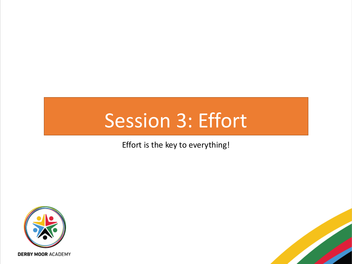# Session 3: Effort

Effort is the key to everything!





**DERBY MOOR ACADEMY**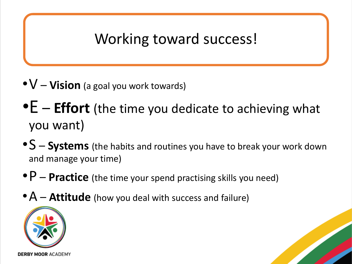### Working toward success!

- •V **Vision** (a goal you work towards)
- •E **Effort** (the time you dedicate to achieving what you want)
- •S **Systems** (the habits and routines you have to break your work down and manage your time)
- •P **Practice** (the time your spend practising skills you need)
- A **Attitude** (how you deal with success and failure)



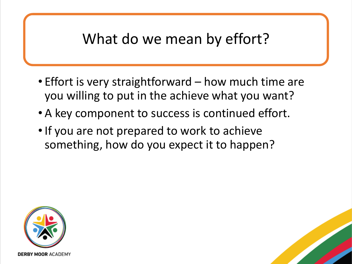#### What do we mean by effort?

- Effort is very straightforward how much time are you willing to put in the achieve what you want?
- A key component to success is continued effort.
- •If you are not prepared to work to achieve something, how do you expect it to happen?



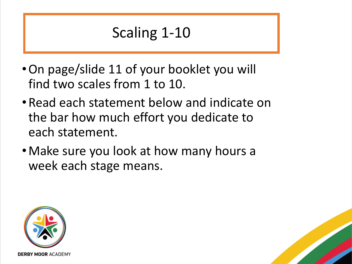#### Scaling 1-10

- •On page/slide 11 of your booklet you will find two scales from 1 to 10.
- •Read each statement below and indicate on the bar how much effort you dedicate to each statement.
- •Make sure you look at how many hours a week each stage means.



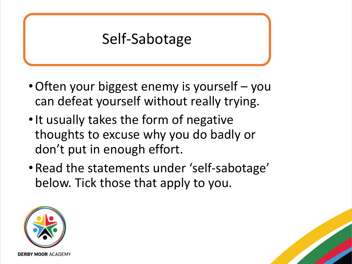#### Self-Sabotage

- •Often your biggest enemy is yourself you can defeat yourself without really trying.
- It usually takes the form of negative thoughts to excuse why you do badly or don't put in enough effort.
- •Read the statements under 'self-sabotage' below. Tick those that apply to you.



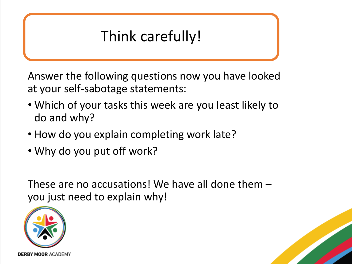## Think carefully!

Answer the following questions now you have looked at your self-sabotage statements:

- Which of your tasks this week are you least likely to do and why?
- How do you explain completing work late?
- Why do you put off work?

These are no accusations! We have all done them – you just need to explain why!